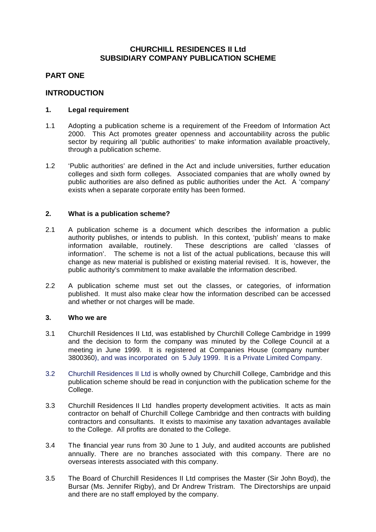# **CHURCHILL RESIDENCES II Ltd SUBSIDIARY COMPANY PUBLICATION SCHEME**

# **PART ONE**

# **INTRODUCTION**

### **1. Legal requirement**

- 1.1 Adopting a publication scheme is a requirement of the Freedom of Information Act 2000. This Act promotes greater openness and accountability across the public sector by requiring all 'public authorities' to make information available proactively, through a publication scheme.
- 1.2 'Public authorities' are defined in the Act and include universities, further education colleges and sixth form colleges. Associated companies that are wholly owned by public authorities are also defined as public authorities under the Act. A 'company' exists when a separate corporate entity has been formed.

### **2. What is a publication scheme?**

- 2.1 A publication scheme is a document which describes the information a public authority publishes, or intends to publish. In this context, 'publish' means to make information available, routinely. These descriptions are called 'classes of information'. The scheme is not a list of the actual publications, because this will change as new material is published or existing material revised. It is, however, the public authority's commitment to make available the information described.
- 2.2 A publication scheme must set out the classes, or categories, of information published. It must also make clear how the information described can be accessed and whether or not charges will be made.

#### **3. Who we are**

- 3.1 Churchill Residences II Ltd, was established by Churchill College Cambridge in 1999 and the decision to form the company was minuted by the College Council at a meeting in June 1999. It is registered at Companies House (company number 3800360), and was incorporated on 5 July 1999. It is a Private Limited Company.
- 3.2 Churchill Residences II Ltd is wholly owned by Churchill College, Cambridge and this publication scheme should be read in conjunction with the publication scheme for the College.
- 3.3 Churchill Residences II Ltd handles property development activities. It acts as main contractor on behalf of Churchill College Cambridge and then contracts with building contractors and consultants. It exists to maximise any taxation advantages available to the College. All profits are donated to the College.
- 3.4 The financial year runs from 30 June to 1 July, and audited accounts are published annually. There are no branches associated with this company. There are no overseas interests associated with this company.
- 3.5 The Board of Churchill Residences II Ltd comprises the Master (Sir John Boyd), the Bursar (Ms. Jennifer Rigby), and Dr Andrew Tristram. The Directorships are unpaid and there are no staff employed by the company.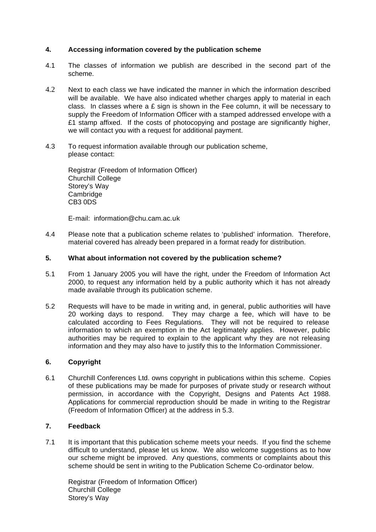## **4. Accessing information covered by the publication scheme**

- 4.1 The classes of information we publish are described in the second part of the scheme.
- 4.2 Next to each class we have indicated the manner in which the information described will be available. We have also indicated whether charges apply to material in each class. In classes where a  $E$  sign is shown in the Fee column, it will be necessary to supply the Freedom of Information Officer with a stamped addressed envelope with a £1 stamp affixed. If the costs of photocopying and postage are significantly higher, we will contact you with a request for additional payment.
- 4.3 To request information available through our publication scheme, please contact:

Registrar (Freedom of Information Officer) Churchill College Storey's Way **Cambridge** CB3 0DS

E-mail: information@chu.cam.ac.uk

4.4 Please note that a publication scheme relates to 'published' information. Therefore, material covered has already been prepared in a format ready for distribution.

## **5. What about information not covered by the publication scheme?**

- 5.1 From 1 January 2005 you will have the right, under the Freedom of Information Act 2000, to request any information held by a public authority which it has not already made available through its publication scheme.
- 5.2 Requests will have to be made in writing and, in general, public authorities will have 20 working days to respond. They may charge a fee, which will have to be calculated according to Fees Regulations. They will not be required to release information to which an exemption in the Act legitimately applies. However, public authorities may be required to explain to the applicant why they are not releasing information and they may also have to justify this to the Information Commissioner.

#### **6. Copyright**

6.1 Churchill Conferences Ltd. owns copyright in publications within this scheme. Copies of these publications may be made for purposes of private study or research without permission, in accordance with the Copyright, Designs and Patents Act 1988. Applications for commercial reproduction should be made in writing to the Registrar (Freedom of Information Officer) at the address in 5.3.

## **7. Feedback**

7.1 It is important that this publication scheme meets your needs. If you find the scheme difficult to understand, please let us know. We also welcome suggestions as to how our scheme might be improved. Any questions, comments or complaints about this scheme should be sent in writing to the Publication Scheme Co-ordinator below.

Registrar (Freedom of Information Officer) Churchill College Storey's Way